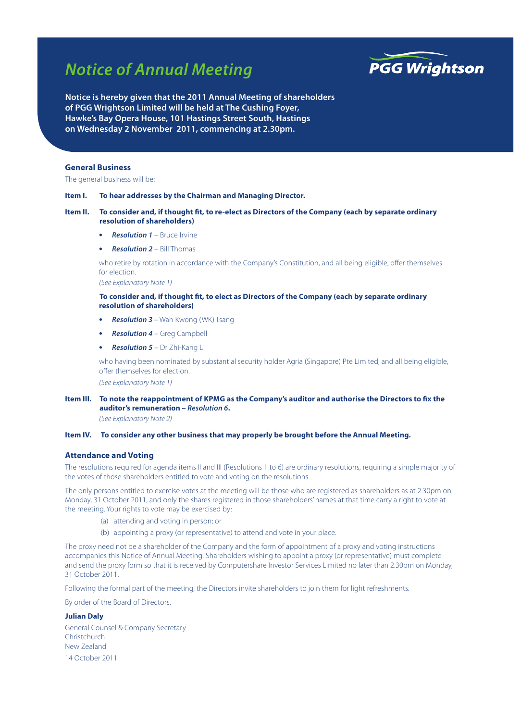# *Notice of Annual Meeting*



**Notice is hereby given that the 2011 Annual Meeting of shareholders of PGG Wrightson Limited will be held at The Cushing Foyer, Hawke's Bay Opera House, 101 Hastings Street South, Hastings on Wednesday 2 November 2011, commencing at 2.30pm.**

## **General Business**

The general business will be:

#### **Item I. To hear addresses by the Chairman and Managing Director.**

## **Item II. To consider and, if thought fit, to re-elect as Directors of the Company (each by separate ordinary resolution of shareholders)**

- **Resolution 1** Bruce Irvine
- **Resolution 2** Bill Thomas

who retire by rotation in accordance with the Company's Constitution, and all being eligible, offer themselves for election.

*(See Explanatory Note 1)*

## **To consider and, if thought fit, to elect as Directors of the Company (each by separate ordinary resolution of shareholders)**

- **Resolution 3** Wah Kwong (WK) Tsang
- **•**  *Resolution 4* Greg Campbell
- **Resolution 5** Dr Zhi-Kang Li

who having been nominated by substantial security holder Agria (Singapore) Pte Limited, and all being eligible, offer themselves for election.

*(See Explanatory Note 1)*

## **Item III. To note the reappointment of KPMG as the Company's auditor and authorise the Directors to fix the auditor's remuneration –** *Resolution 6***.**

*(See Explanatory Note 2)*

#### **Item IV. To consider any other business that may properly be brought before the Annual Meeting.**

## **Attendance and Voting**

The resolutions required for agenda items II and III (Resolutions 1 to 6) are ordinary resolutions, requiring a simple majority of the votes of those shareholders entitled to vote and voting on the resolutions.

The only persons entitled to exercise votes at the meeting will be those who are registered as shareholders as at 2.30pm on Monday, 31 October 2011, and only the shares registered in those shareholders' names at that time carry a right to vote at the meeting. Your rights to vote may be exercised by:

- (a) attending and voting in person; or
- (b) appointing a proxy (or representative) to attend and vote in your place.

The proxy need not be a shareholder of the Company and the form of appointment of a proxy and voting instructions accompanies this Notice of Annual Meeting. Shareholders wishing to appoint a proxy (or representative) must complete and send the proxy form so that it is received by Computershare Investor Services Limited no later than 2.30pm on Monday, 31 October 2011.

Following the formal part of the meeting, the Directors invite shareholders to join them for light refreshments.

By order of the Board of Directors.

## **Julian Daly**

General Counsel & Company Secretary **Christchurch** New Zealand 14 October 2011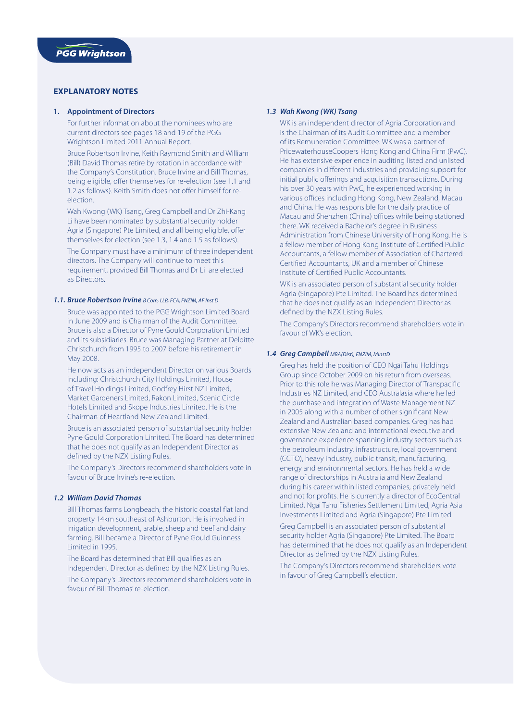## **EXPLANATORY NOTES**

## **1. Appointment of Directors**

For further information about the nominees who are current directors see pages 18 and 19 of the PGG Wrightson Limited 2011 Annual Report.

Bruce Robertson Irvine, Keith Raymond Smith and William (Bill) David Thomas retire by rotation in accordance with the Company's Constitution. Bruce Irvine and Bill Thomas, being eligible, offer themselves for re-election (see 1.1 and 1.2 as follows). Keith Smith does not offer himself for reelection.

Wah Kwong (WK) Tsang, Greg Campbell and Dr Zhi-Kang Li have been nominated by substantial security holder Agria (Singapore) Pte Limited, and all being eligible, offer themselves for election (see 1.3, 1.4 and 1.5 as follows).

The Company must have a minimum of three independent directors. The Company will continue to meet this requirement, provided Bill Thomas and Dr Li are elected as Directors.

## *1.1. Bruce Robertson Irvine B Com, LLB, FCA, FNZIM, AF Inst D*

Bruce was appointed to the PGG Wrightson Limited Board in June 2009 and is Chairman of the Audit Committee. Bruce is also a Director of Pyne Gould Corporation Limited and its subsidiaries. Bruce was Managing Partner at Deloitte Christchurch from 1995 to 2007 before his retirement in May 2008.

He now acts as an independent Director on various Boards including: Christchurch City Holdings Limited, House of Travel Holdings Limited, Godfrey Hirst NZ Limited, Market Gardeners Limited, Rakon Limited, Scenic Circle Hotels Limited and Skope Industries Limited. He is the Chairman of Heartland New Zealand Limited.

Bruce is an associated person of substantial security holder Pyne Gould Corporation Limited. The Board has determined that he does not qualify as an Independent Director as defined by the NZX Listing Rules.

The Company's Directors recommend shareholders vote in favour of Bruce Irvine's re-election.

## *1.2 William David Thomas*

Bill Thomas farms Longbeach, the historic coastal flat land property 14km southeast of Ashburton. He is involved in irrigation development, arable, sheep and beef and dairy farming. Bill became a Director of Pyne Gould Guinness Limited in 1995.

The Board has determined that Bill qualifies as an Independent Director as defined by the NZX Listing Rules.

The Company's Directors recommend shareholders vote in favour of Bill Thomas' re-election.

## *1.3 Wah Kwong (WK) Tsang*

WK is an independent director of Agria Corporation and is the Chairman of its Audit Committee and a member of its Remuneration Committee. WK was a partner of PricewaterhouseCoopers Hong Kong and China Firm (PwC). He has extensive experience in auditing listed and unlisted companies in different industries and providing support for initial public offerings and acquisition transactions. During his over 30 years with PwC, he experienced working in various offices including Hong Kong, New Zealand, Macau and China. He was responsible for the daily practice of Macau and Shenzhen (China) offices while being stationed there. WK received a Bachelor's degree in Business Administration from Chinese University of Hong Kong. He is a fellow member of Hong Kong Institute of Certified Public Accountants, a fellow member of Association of Chartered Certified Accountants, UK and a member of Chinese Institute of Certified Public Accountants.

WK is an associated person of substantial security holder Agria (Singapore) Pte Limited. The Board has determined that he does not qualify as an Independent Director as defined by the NZX Listing Rules.

The Company's Directors recommend shareholders vote in favour of WK's election.

## *1.4 Greg Campbell MBA(Dist), FNZIM, MInstD*

Greg has held the position of CEO Ngāi Tahu Holdings Group since October 2009 on his return from overseas. Prior to this role he was Managing Director of Transpacific Industries NZ Limited, and CEO Australasia where he led the purchase and integration of Waste Management NZ in 2005 along with a number of other significant New Zealand and Australian based companies. Greg has had extensive New Zealand and international executive and governance experience spanning industry sectors such as the petroleum industry, infrastructure, local government (CCTO), heavy industry, public transit, manufacturing, energy and environmental sectors. He has held a wide range of directorships in Australia and New Zealand during his career within listed companies, privately held and not for profits. He is currently a director of EcoCentral Limited, Ngai Tahu Fisheries Settlement Limited, Agria Asia Investments Limited and Agria (Singapore) Pte Limited.

Greg Campbell is an associated person of substantial security holder Agria (Singapore) Pte Limited. The Board has determined that he does not qualify as an Independent Director as defined by the NZX Listing Rules.

The Company's Directors recommend shareholders vote in favour of Greg Campbell's election.